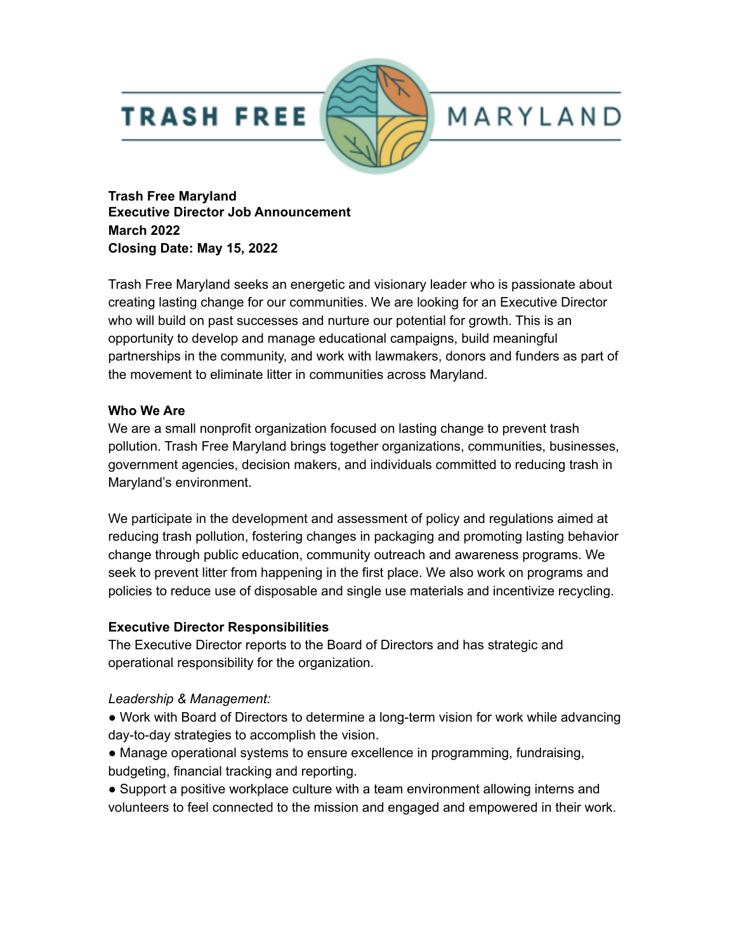## **TRASH FREE**



# MARYLAND

**Trash Free Maryland Executive Director Job Announcement March 2022 Closing Date: May 15, 2022**

Trash Free Maryland seeks an energetic and visionary leader who is passionate about creating lasting change for our communities. We are looking for an Executive Director who will build on past successes and nurture our potential for growth. This is an opportunity to develop and manage educational campaigns, build meaningful partnerships in the community, and work with lawmakers, donors and funders as part of the movement to eliminate litter in communities across Maryland.

#### **Who We Are**

We are a small nonprofit organization focused on lasting change to prevent trash pollution. Trash Free Maryland brings together organizations, communities, businesses, government agencies, decision makers, and individuals committed to reducing trash in Maryland's environment.

We participate in the development and assessment of policy and regulations aimed at reducing trash pollution, fostering changes in packaging and promoting lasting behavior change through public education, community outreach and awareness programs. We seek to prevent litter from happening in the first place. We also work on programs and policies to reduce use of disposable and single use materials and incentivize recycling.

### **Executive Director Responsibilities**

The Executive Director reports to the Board of Directors and has strategic and operational responsibility for the organization.

### *Leadership & Management:*

● Work with Board of Directors to determine a long-term vision for work while advancing day-to-day strategies to accomplish the vision.

● Manage operational systems to ensure excellence in programming, fundraising, budgeting, financial tracking and reporting.

● Support a positive workplace culture with a team environment allowing interns and volunteers to feel connected to the mission and engaged and empowered in their work.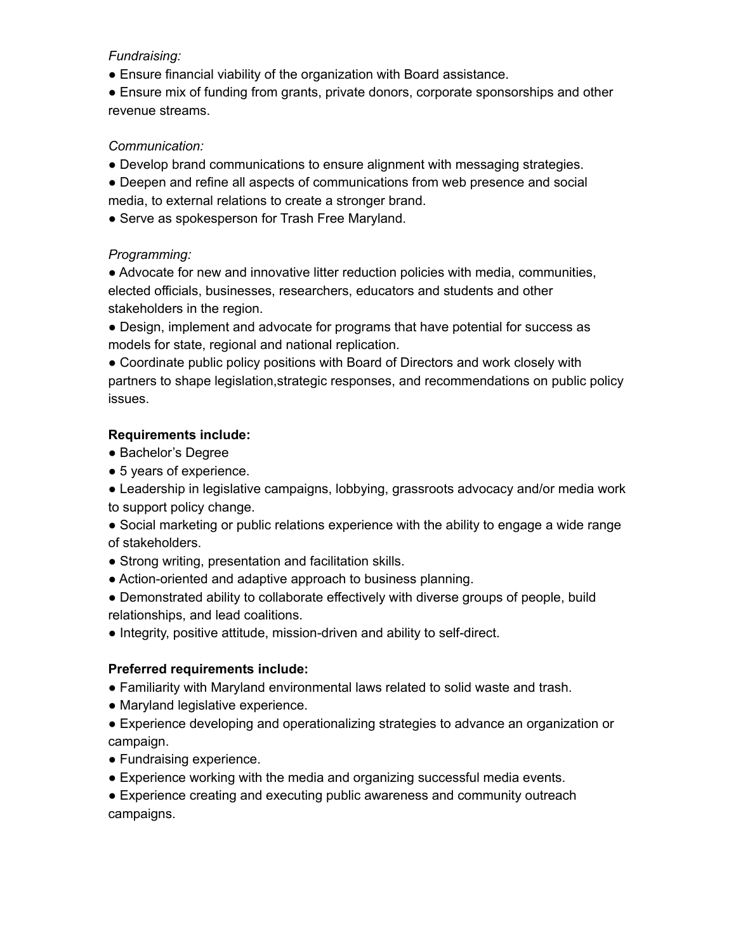#### *Fundraising:*

● Ensure financial viability of the organization with Board assistance.

● Ensure mix of funding from grants, private donors, corporate sponsorships and other revenue streams.

#### *Communication:*

● Develop brand communications to ensure alignment with messaging strategies.

● Deepen and refine all aspects of communications from web presence and social media, to external relations to create a stronger brand.

• Serve as spokesperson for Trash Free Maryland.

#### *Programming:*

● Advocate for new and innovative litter reduction policies with media, communities, elected officials, businesses, researchers, educators and students and other stakeholders in the region.

● Design, implement and advocate for programs that have potential for success as models for state, regional and national replication.

● Coordinate public policy positions with Board of Directors and work closely with partners to shape legislation,strategic responses, and recommendations on public policy issues.

#### **Requirements include:**

- Bachelor's Degree
- 5 years of experience.

• Leadership in legislative campaigns, lobbying, grassroots advocacy and/or media work to support policy change.

● Social marketing or public relations experience with the ability to engage a wide range of stakeholders.

- Strong writing, presentation and facilitation skills.
- Action-oriented and adaptive approach to business planning.
- Demonstrated ability to collaborate effectively with diverse groups of people, build relationships, and lead coalitions.
- Integrity, positive attitude, mission-driven and ability to self-direct.

#### **Preferred requirements include:**

- Familiarity with Maryland environmental laws related to solid waste and trash.
- Maryland legislative experience.
- Experience developing and operationalizing strategies to advance an organization or campaign.
- Fundraising experience.
- Experience working with the media and organizing successful media events.

● Experience creating and executing public awareness and community outreach campaigns.